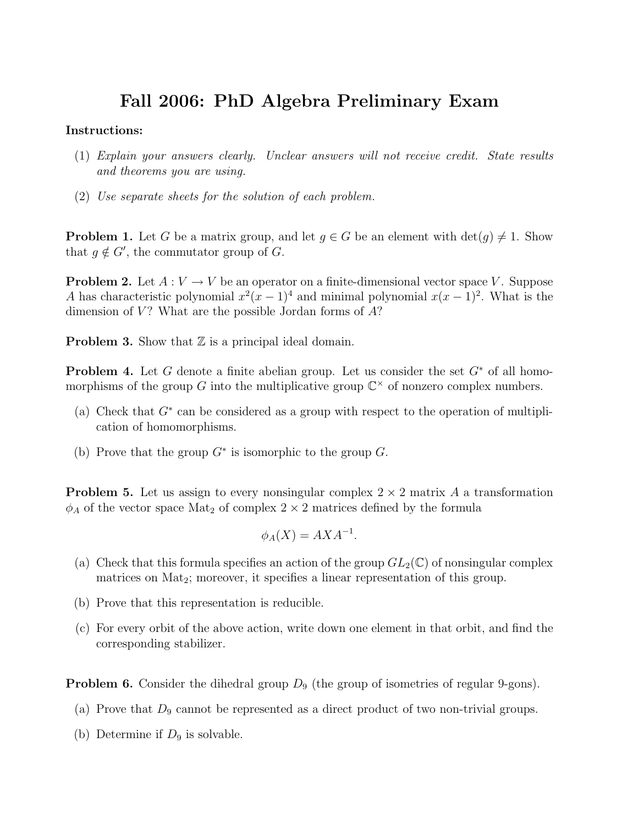## Fall 2006: PhD Algebra Preliminary Exam

## Instructions:

- (1) Explain your answers clearly. Unclear answers will not receive credit. State results and theorems you are using.
- (2) Use separate sheets for the solution of each problem.

**Problem 1.** Let G be a matrix group, and let  $g \in G$  be an element with  $\det(g) \neq 1$ . Show that  $g \notin G'$ , the commutator group of G.

**Problem 2.** Let  $A: V \to V$  be an operator on a finite-dimensional vector space V. Suppose A has characteristic polynomial  $x^2(x-1)^4$  and minimal polynomial  $x(x-1)^2$ . What is the dimension of  $V$ ? What are the possible Jordan forms of  $A$ ?

**Problem 3.** Show that  $\mathbb{Z}$  is a principal ideal domain.

**Problem 4.** Let G denote a finite abelian group. Let us consider the set  $G^*$  of all homomorphisms of the group G into the multiplicative group  $\mathbb{C}^{\times}$  of nonzero complex numbers.

- (a) Check that  $G^*$  can be considered as a group with respect to the operation of multiplication of homomorphisms.
- (b) Prove that the group  $G^*$  is isomorphic to the group  $G$ .

**Problem 5.** Let us assign to every nonsingular complex  $2 \times 2$  matrix A a transformation  $\phi_A$  of the vector space Mat<sub>2</sub> of complex  $2 \times 2$  matrices defined by the formula

$$
\phi_A(X) = AXA^{-1}.
$$

- (a) Check that this formula specifies an action of the group  $GL_2(\mathbb{C})$  of nonsingular complex matrices on Mat<sub>2</sub>; moreover, it specifies a linear representation of this group.
- (b) Prove that this representation is reducible.
- (c) For every orbit of the above action, write down one element in that orbit, and find the corresponding stabilizer.

**Problem 6.** Consider the dihedral group  $D_9$  (the group of isometries of regular 9-gons).

- (a) Prove that  $D_9$  cannot be represented as a direct product of two non-trivial groups.
- (b) Determine if  $D_9$  is solvable.